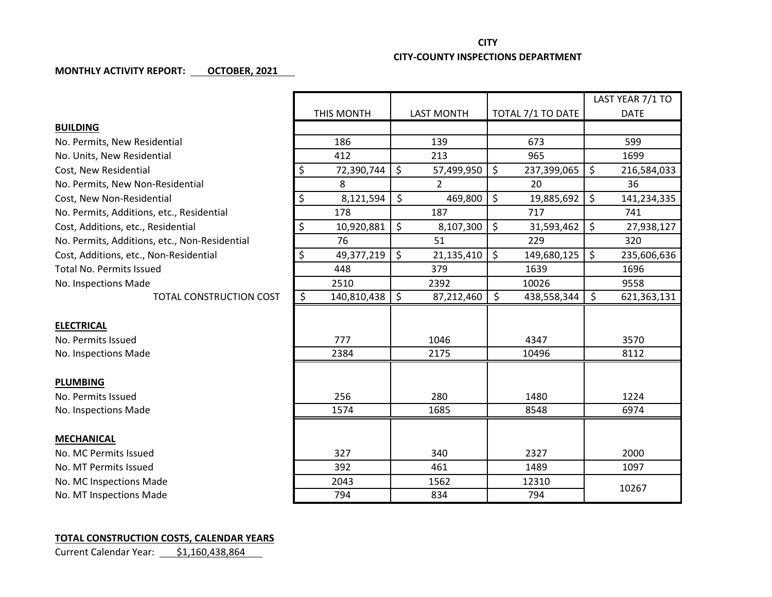## **CITY CITY-COUNTY INSPECTIONS DEPARTMENT**

## **MONTHLY ACTIVITY REPORT: OCTOBER, 2021**

|                                               |                        |                   |                                   | LAST YEAR 7/1 TO  |
|-----------------------------------------------|------------------------|-------------------|-----------------------------------|-------------------|
|                                               | THIS MONTH             | <b>LAST MONTH</b> | TOTAL 7/1 TO DATE                 | <b>DATE</b>       |
| <b>BUILDING</b>                               |                        |                   |                                   |                   |
| No. Permits, New Residential                  | 186                    | 139               | 673                               | 599               |
| No. Units, New Residential                    | 412                    | 213               | 965                               | 1699              |
| Cost, New Residential                         | $\zeta$<br>72,390,744  | \$<br>57,499,950  | $\zeta$<br>237,399,065            | \$<br>216,584,033 |
| No. Permits, New Non-Residential              | 8                      | $\overline{2}$    | 20                                | 36                |
| Cost, New Non-Residential                     | \$<br>8,121,594        | \$<br>469,800     | $\zeta$<br>19,885,692             | \$<br>141,234,335 |
| No. Permits, Additions, etc., Residential     | 178                    | 187               | 717                               | 741               |
| Cost, Additions, etc., Residential            | \$<br>10,920,881       | \$<br>8,107,300   | $\zeta$<br>31,593,462             | \$<br>27,938,127  |
| No. Permits, Additions, etc., Non-Residential | 76                     | 51                | 229                               | 320               |
| Cost, Additions, etc., Non-Residential        | \$<br>49,377,219       | \$<br>21,135,410  | $\mathsf{\hat{S}}$<br>149,680,125 | \$<br>235,606,636 |
| <b>Total No. Permits Issued</b>               | 448                    | 379               | 1639                              | 1696              |
| No. Inspections Made                          | 2510                   | 2392              | 10026                             | 9558              |
| <b>TOTAL CONSTRUCTION COST</b>                | $\zeta$<br>140,810,438 | \$<br>87,212,460  | $\zeta$<br>438,558,344            | \$<br>621,363,131 |
|                                               |                        |                   |                                   |                   |
| <b>ELECTRICAL</b>                             |                        |                   |                                   |                   |
| No. Permits Issued                            | 777                    | 1046              | 4347                              | 3570              |
| No. Inspections Made                          | 2384                   | 2175              | 10496                             | 8112              |
|                                               |                        |                   |                                   |                   |
| <b>PLUMBING</b>                               |                        |                   |                                   |                   |
| No. Permits Issued                            | 256                    | 280               | 1480                              | 1224              |
| No. Inspections Made                          | 1574                   | 1685              | 8548                              | 6974              |
|                                               |                        |                   |                                   |                   |
| <b>MECHANICAL</b>                             |                        |                   |                                   |                   |
| No. MC Permits Issued                         | 327                    | 340               | 2327                              | 2000              |
| No. MT Permits Issued                         | 392                    | 461               | 1489                              | 1097              |
| No. MC Inspections Made                       | 2043                   | 1562              | 12310                             | 10267             |
| No. MT Inspections Made                       | 794                    | 834               | 794                               |                   |

## **TOTAL CONSTRUCTION COSTS, CALENDAR YEARS**

Current Calendar Year: \$1,160,438,864